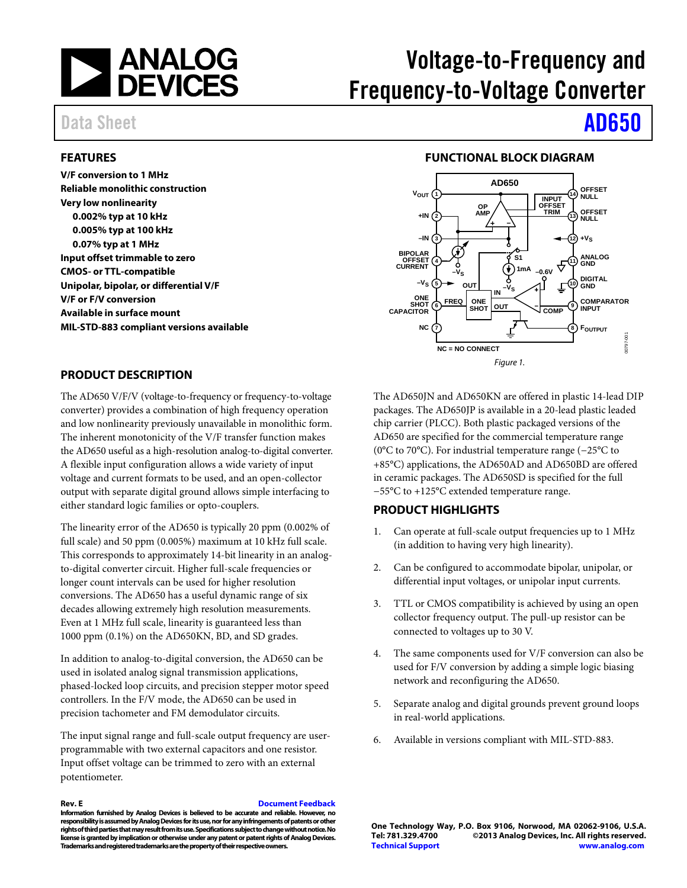

# Voltage-to-Frequency and Frequency-to-Voltage Converter

# Data Sheet **[AD650](http://www.analog.com/AD650?doc=AD650.pdf)**

#### <span id="page-0-0"></span>**FEATURES**

**V/F conversion to 1 MHz Reliable monolithic construction Very low nonlinearity 0.002% typ at 10 kHz 0.005% typ at 100 kHz 0.07% typ at 1 MHz Input offset trimmable to zero CMOS- or TTL-compatible Unipolar, bipolar, or differential V/F V/F or F/V conversion Available in surface mount MIL-STD-883 compliant versions available**

#### **FUNCTIONAL BLOCK DIAGRAM**

<span id="page-0-1"></span>

#### <span id="page-0-2"></span>**PRODUCT DESCRIPTION**

The AD650 V/F/V (voltage-to-frequency or frequency-to-voltage converter) provides a combination of high frequency operation and low nonlinearity previously unavailable in monolithic form. The inherent monotonicity of the V/F transfer function makes the AD650 useful as a high-resolution analog-to-digital converter. A flexible input configuration allows a wide variety of input voltage and current formats to be used, and an open-collector output with separate digital ground allows simple interfacing to either standard logic families or opto-couplers.

The linearity error of the AD650 is typically 20 ppm (0.002% of full scale) and 50 ppm (0.005%) maximum at 10 kHz full scale. This corresponds to approximately 14-bit linearity in an analogto-digital converter circuit. Higher full-scale frequencies or longer count intervals can be used for higher resolution conversions. The AD650 has a useful dynamic range of six decades allowing extremely high resolution measurements. Even at 1 MHz full scale, linearity is guaranteed less than 1000 ppm (0.1%) on the AD650KN, BD, and SD grades.

In addition to analog-to-digital conversion, the AD650 can be used in isolated analog signal transmission applications, phased-locked loop circuits, and precision stepper motor speed controllers. In the F/V mode, the AD650 can be used in precision tachometer and FM demodulator circuits.

The input signal range and full-scale output frequency are userprogrammable with two external capacitors and one resistor. Input offset voltage can be trimmed to zero with an external potentiometer.

#### **Rev. E [Document Feedback](https://form.analog.com/Form_Pages/feedback/documentfeedback.aspx?doc=AD650.pdf&product=AD650&rev=E) Information furnished by Analog Devices is believed to be accurate and reliable. However, no responsibility is assumed by Analog Devices for its use, nor for any infringements of patents or other rights of third parties that may result from its use. Specifications subject to change without notice. No license is granted by implication or otherwise under any patent or patent rights of Analog Devices.**

**Trademarks and registered trademarks are the property of their respective owners.**

The AD650JN and AD650KN are offered in plastic 14-lead DIP packages. The AD650JP is available in a 20-lead plastic leaded chip carrier (PLCC). Both plastic packaged versions of the AD650 are specified for the commercial temperature range (0°C to 70°C). For industrial temperature range (−25°C to +85°C) applications, the AD650AD and AD650BD are offered in ceramic packages. The AD650SD is specified for the full −55°C to +125°C extended temperature range.

#### <span id="page-0-3"></span>**PRODUCT HIGHLIGHTS**

- 1. Can operate at full-scale output frequencies up to 1 MHz (in addition to having very high linearity).
- 2. Can be configured to accommodate bipolar, unipolar, or differential input voltages, or unipolar input currents.
- 3. TTL or CMOS compatibility is achieved by using an open collector frequency output. The pull-up resistor can be connected to voltages up to 30 V.
- 4. The same components used for V/F conversion can also be used for F/V conversion by adding a simple logic biasing network and reconfiguring the AD650.
- 5. Separate analog and digital grounds prevent ground loops in real-world applications.
- 6. Available in versions compliant with MIL-STD-883.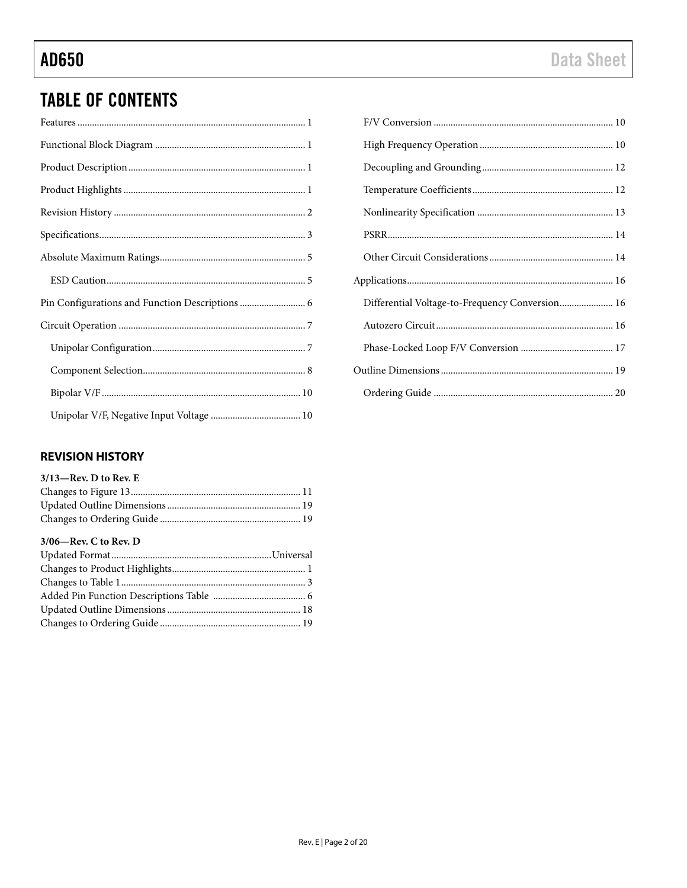# **TABLE OF CONTENTS**

| Pin Configurations and Function Descriptions  6 |
|-------------------------------------------------|
|                                                 |
|                                                 |
|                                                 |
|                                                 |
|                                                 |

| Differential Voltage-to-Frequency Conversion 16 |  |
|-------------------------------------------------|--|
|                                                 |  |
|                                                 |  |
|                                                 |  |
|                                                 |  |

### <span id="page-1-0"></span>**REVISION HISTORY**

| $3/13$ —Rev. D to Rev. E |  |
|--------------------------|--|
|                          |  |
|                          |  |
|                          |  |

#### $3/06$ —Rev. C to Rev. D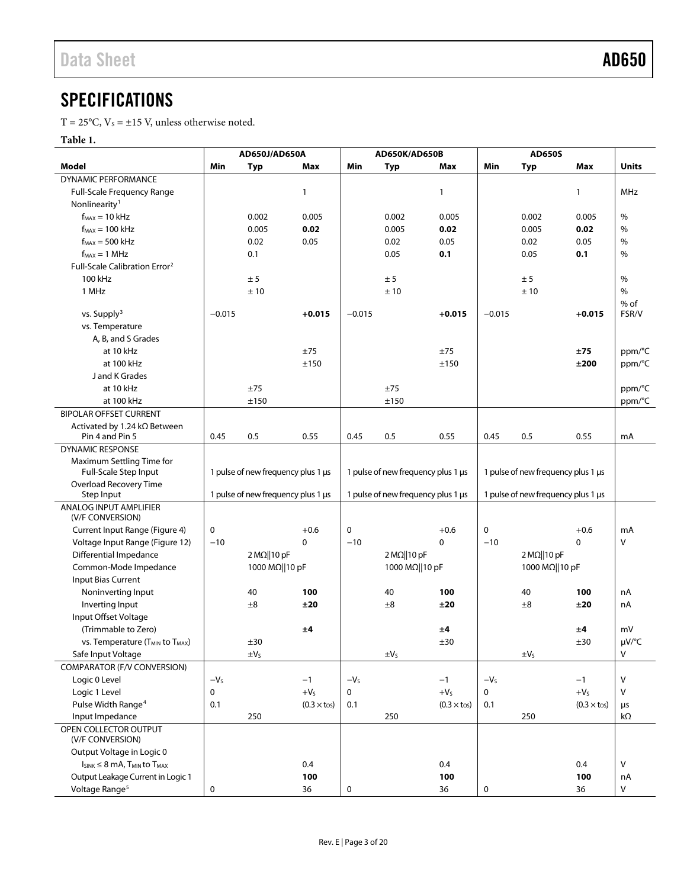## <span id="page-2-0"></span>**SPECIFICATIONS**

 $T = 25^{\circ}$ C,  $V_s = \pm 15$  V, unless otherwise noted.

#### **Table 1.**

|                                                         |           | AD650J/AD650A                      |                       |             | <b>AD650K/AD650B</b>               |                       | <b>AD650S</b> |                                    |                       |              |
|---------------------------------------------------------|-----------|------------------------------------|-----------------------|-------------|------------------------------------|-----------------------|---------------|------------------------------------|-----------------------|--------------|
| Model                                                   | Min       | <b>Typ</b>                         | Max                   | Min         | <b>Typ</b>                         | Max                   | Min           | <b>Typ</b>                         | Max                   | <b>Units</b> |
| <b>DYNAMIC PERFORMANCE</b>                              |           |                                    |                       |             |                                    |                       |               |                                    |                       |              |
| Full-Scale Frequency Range                              |           |                                    | $\mathbf{1}$          |             |                                    | 1                     |               |                                    | $\mathbf{1}$          | MHz          |
| Nonlinearity <sup>1</sup>                               |           |                                    |                       |             |                                    |                       |               |                                    |                       |              |
| $f_{MAX} = 10$ kHz                                      |           | 0.002                              | 0.005                 |             | 0.002                              | 0.005                 |               | 0.002                              | 0.005                 | %            |
| $f_{MAX} = 100$ kHz                                     |           | 0.005                              | 0.02                  |             | 0.005                              | 0.02                  |               | 0.005                              | 0.02                  | %            |
| $f_{MAX} = 500$ kHz                                     |           | 0.02                               | 0.05                  |             | 0.02                               | 0.05                  |               | 0.02                               | 0.05                  | %            |
| $f_{MAX} = 1 MHz$                                       |           | 0.1                                |                       |             | 0.05                               | 0.1                   |               | 0.05                               | 0.1                   | %            |
| Full-Scale Calibration Error <sup>2</sup>               |           |                                    |                       |             |                                    |                       |               |                                    |                       |              |
| 100 kHz                                                 |           | ± 5                                |                       |             | ± 5                                |                       |               | ± 5                                |                       | %            |
| 1 MHz                                                   |           | ±10                                |                       |             | ±10                                |                       |               | ±10                                |                       | %            |
|                                                         |           |                                    |                       |             |                                    |                       |               |                                    |                       | $%$ of       |
| vs. Supply <sup>3</sup>                                 | $-0.015$  |                                    | $+0.015$              | $-0.015$    |                                    | $+0.015$              | $-0.015$      |                                    | $+0.015$              | FSR/V        |
| vs. Temperature                                         |           |                                    |                       |             |                                    |                       |               |                                    |                       |              |
| A, B, and S Grades                                      |           |                                    |                       |             |                                    |                       |               |                                    |                       |              |
| at 10 kHz                                               |           |                                    | ±75                   |             |                                    | ±75                   |               |                                    | ±75                   | ppm/°C       |
| at 100 kHz                                              |           |                                    | ±150                  |             |                                    | ±150                  |               |                                    | ±200                  | ppm/°C       |
| J and K Grades                                          |           |                                    |                       |             |                                    |                       |               |                                    |                       |              |
| at 10 kHz                                               |           | ±75                                |                       |             | ±75                                |                       |               |                                    |                       | ppm/°C       |
| at 100 kHz                                              |           | ±150                               |                       |             | ±150                               |                       |               |                                    |                       | ppm/°C       |
| <b>BIPOLAR OFFSET CURRENT</b>                           |           |                                    |                       |             |                                    |                       |               |                                    |                       |              |
| Activated by 1.24 kΩ Between<br>Pin 4 and Pin 5         | 0.45      | 0.5                                | 0.55                  | 0.45        | 0.5                                | 0.55                  | 0.45          | 0.5                                | 0.55                  | mA           |
| <b>DYNAMIC RESPONSE</b>                                 |           |                                    |                       |             |                                    |                       |               |                                    |                       |              |
|                                                         |           |                                    |                       |             |                                    |                       |               |                                    |                       |              |
| Maximum Settling Time for<br>Full-Scale Step Input      |           | 1 pulse of new frequency plus 1 µs |                       |             | 1 pulse of new frequency plus 1 µs |                       |               | 1 pulse of new frequency plus 1 µs |                       |              |
| Overload Recovery Time                                  |           |                                    |                       |             |                                    |                       |               |                                    |                       |              |
| Step Input                                              |           | 1 pulse of new frequency plus 1 µs |                       |             | 1 pulse of new frequency plus 1 µs |                       |               | 1 pulse of new frequency plus 1 µs |                       |              |
| ANALOG INPUT AMPLIFIER                                  |           |                                    |                       |             |                                    |                       |               |                                    |                       |              |
| (V/F CONVERSION)                                        |           |                                    |                       |             |                                    |                       |               |                                    |                       |              |
| Current Input Range (Figure 4)                          | $\pmb{0}$ |                                    | $+0.6$                | $\mathbf 0$ |                                    | $+0.6$                | $\mathbf 0$   |                                    | $+0.6$                | mA           |
| Voltage Input Range (Figure 12)                         | $-10$     |                                    | $\mathbf 0$           | $-10$       |                                    | $\Omega$              | $-10$         |                                    | 0                     | V            |
| Differential Impedance                                  |           | $2 M\Omega$   10 pF                |                       |             | $2 M\Omega$   10 pF                |                       |               | $2 M\Omega$   10 pF                |                       |              |
| Common-Mode Impedance                                   |           | 1000 MΩ  10 pF                     |                       |             | 1000 MΩ  10 pF                     |                       |               | 1000 MΩ  10 pF                     |                       |              |
| Input Bias Current                                      |           |                                    |                       |             |                                    |                       |               |                                    |                       |              |
| Noninverting Input                                      |           | 40                                 | 100                   |             | 40                                 | 100                   |               | 40                                 | 100                   | nA           |
| Inverting Input                                         |           | ±8                                 | ±20                   |             | ±8                                 | ±20                   |               | ±8                                 | ±20                   | nA           |
| Input Offset Voltage                                    |           |                                    |                       |             |                                    |                       |               |                                    |                       |              |
| (Trimmable to Zero)                                     |           |                                    | ±4                    |             |                                    | ±4                    |               |                                    | ±4                    | mV           |
| VS. Temperature (T <sub>MIN</sub> to T <sub>MAX</sub> ) |           | ±30                                |                       |             |                                    | ±30                   |               |                                    | ±30                   | µV/°C        |
| Safe Input Voltage                                      |           | $\pm V_5$                          |                       |             | $\pm V_5$                          |                       |               | $\pm V_5$                          |                       | v            |
| COMPARATOR (F/V CONVERSION)                             |           |                                    |                       |             |                                    |                       |               |                                    |                       |              |
| Logic 0 Level                                           | $-VS$     |                                    | $-1$                  | $-VS$       |                                    | $-1$                  | $-VS$         |                                    | $-1$                  | $\vee$       |
| Logic 1 Level                                           | $\pmb{0}$ |                                    | $+VS$                 | 0           |                                    | $+VS$                 | $\mathbf 0$   |                                    | $+VS$                 | $\vee$       |
| Pulse Width Range <sup>4</sup>                          | 0.1       |                                    | $(0.3 \times t_{OS})$ | 0.1         |                                    | $(0.3 \times t_{OS})$ | 0.1           |                                    | $(0.3 \times t_{OS})$ | μs           |
| Input Impedance                                         |           | 250                                |                       |             | 250                                |                       |               | 250                                |                       | kΩ           |
| OPEN COLLECTOR OUTPUT<br>(V/F CONVERSION)               |           |                                    |                       |             |                                    |                       |               |                                    |                       |              |
| Output Voltage in Logic 0                               |           |                                    |                       |             |                                    |                       |               |                                    |                       |              |
| $I_{SINK} \leq 8$ MA, $T_{MIN}$ to $T_{MAX}$            |           |                                    | 0.4                   |             |                                    | 0.4                   |               |                                    | 0.4                   | V            |
| Output Leakage Current in Logic 1                       |           |                                    | 100                   |             |                                    | 100                   |               |                                    | 100                   | nA           |
| Voltage Range <sup>5</sup>                              | 0         |                                    | 36                    | 0           |                                    | 36                    | 0             |                                    | 36                    | V            |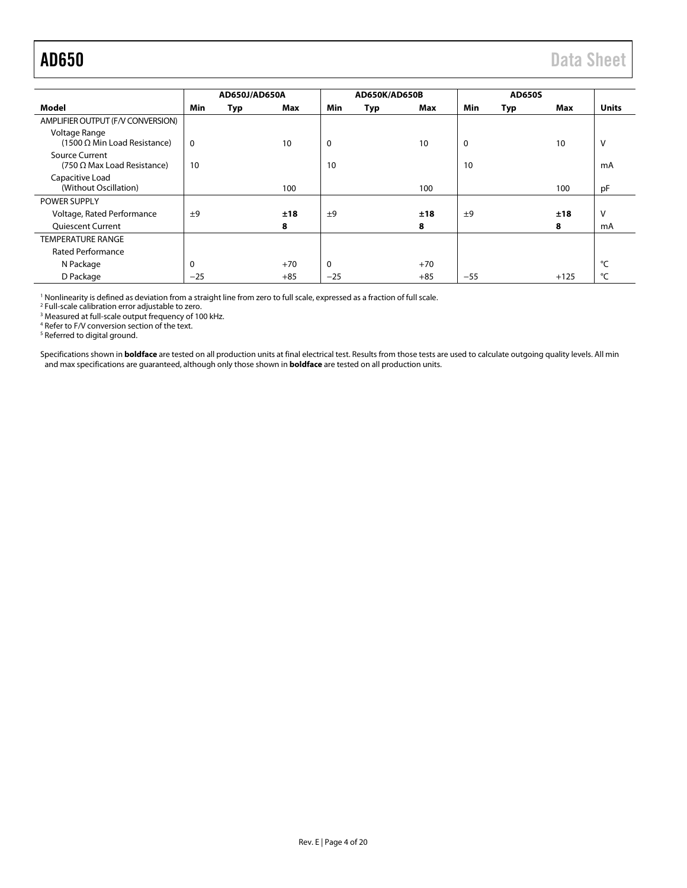<span id="page-3-0"></span>

|                                                      | AD650J/AD650A |     |       | AD650K/AD650B |     |       | <b>AD650S</b> |            |        |              |
|------------------------------------------------------|---------------|-----|-------|---------------|-----|-------|---------------|------------|--------|--------------|
| Model                                                | Min           | Typ | Max   | <b>Min</b>    | Typ | Max   | Min           | <b>Typ</b> | Max    | <b>Units</b> |
| AMPLIFIER OUTPUT (F/V CONVERSION)                    |               |     |       |               |     |       |               |            |        |              |
| Voltage Range<br>$(1500 \Omega$ Min Load Resistance) | 0             |     | 10    | $\mathbf 0$   |     | 10    | 0             |            | 10     | v            |
| Source Current<br>(750 $\Omega$ Max Load Resistance) | 10            |     |       | 10            |     |       | 10            |            |        | mA           |
| Capacitive Load<br>(Without Oscillation)             |               |     | 100   |               |     | 100   |               |            | 100    | pF           |
| <b>POWER SUPPLY</b>                                  |               |     |       |               |     |       |               |            |        |              |
| Voltage, Rated Performance                           | ±9            |     | ±18   | ±9            |     | ±18   | ±9            |            | ±18    | v            |
| <b>Quiescent Current</b>                             |               |     | 8     |               |     | 8     |               |            | 8      | mA           |
| <b>TEMPERATURE RANGE</b>                             |               |     |       |               |     |       |               |            |        |              |
| <b>Rated Performance</b>                             |               |     |       |               |     |       |               |            |        |              |
| N Package                                            |               |     | $+70$ | $\mathbf 0$   |     | $+70$ |               |            |        | °C           |
| D Package                                            | $-25$         |     | $+85$ | $-25$         |     | $+85$ | $-55$         |            | $+125$ | °C           |

<sup>1</sup> Nonlinearity is defined as deviation from a straight line from zero to full scale, expressed as a fraction of full scale.

<sup>2</sup> Full-scale calibration error adjustable to zero.

<sup>3</sup> Measured at full-scale output frequency of 100 kHz.

<sup>4</sup> Refer to F/V conversion section of the text.

<sup>5</sup> Referred to digital ground.

Specifications shown in **boldface** are tested on all production units at final electrical test. Results from those tests are used to calculate outgoing quality levels. All min and max specifications are guaranteed, although only those shown in **boldface** are tested on all production units.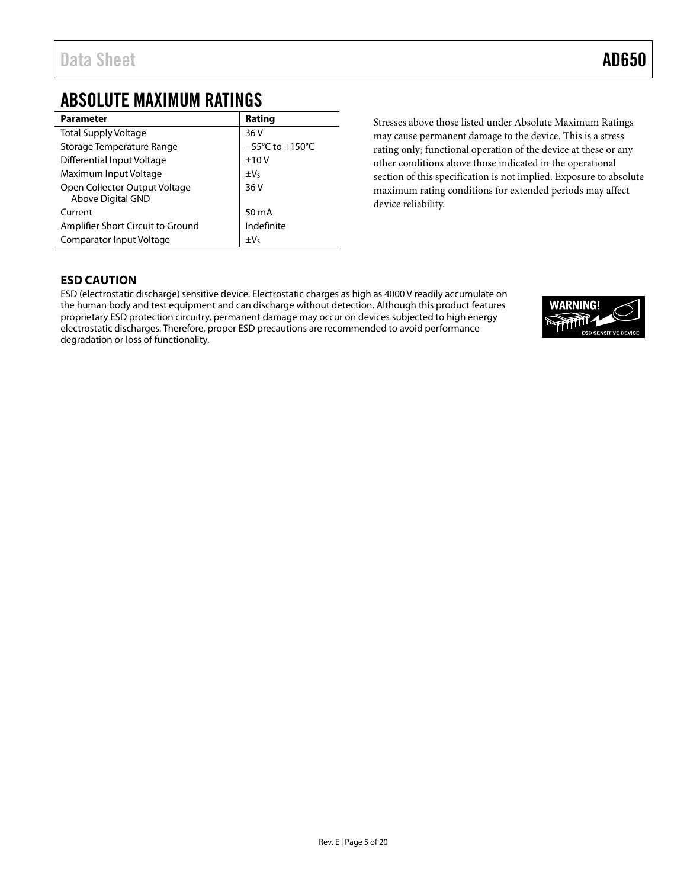## <span id="page-4-0"></span>ABSOLUTE MAXIMUM RATINGS

| <b>Parameter</b>                                   | Rating                              |
|----------------------------------------------------|-------------------------------------|
| <b>Total Supply Voltage</b>                        | 36 V                                |
| Storage Temperature Range                          | $-55^{\circ}$ C to $+150^{\circ}$ C |
| Differential Input Voltage                         | ±10V                                |
| Maximum Input Voltage                              | $\pm V_5$                           |
| Open Collector Output Voltage<br>Above Digital GND | 36 V                                |
| Current                                            | 50 mA                               |
| Amplifier Short Circuit to Ground                  | Indefinite                          |
| Comparator Input Voltage                           | $\pm V_5$                           |

Stresses above those listed under Absolute Maximum Ratings may cause permanent damage to the device. This is a stress rating only; functional operation of the device at these or any other conditions above those indicated in the operational section of this specification is not implied. Exposure to absolute maximum rating conditions for extended periods may affect device reliability.

### <span id="page-4-1"></span>**ESD CAUTION**

ESD (electrostatic discharge) sensitive device. Electrostatic charges as high as 4000 V readily accumulate on the human body and test equipment and can discharge without detection. Although this product features proprietary ESD protection circuitry, permanent damage may occur on devices subjected to high energy electrostatic discharges. Therefore, proper ESD precautions are recommended to avoid performance degradation or loss of functionality.

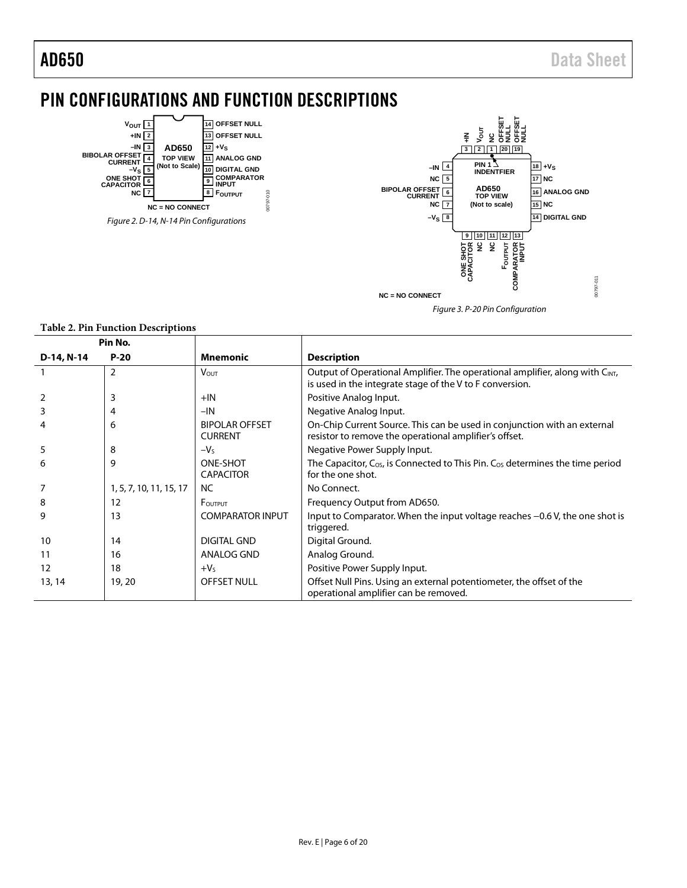# <span id="page-5-0"></span>PIN CONFIGURATIONS AND FUNCTION DESCRIPTIONS





#### **Table 2. Pin Function Descriptions**

|            | Pin No.                 |                                         |                                                                                                                                          |
|------------|-------------------------|-----------------------------------------|------------------------------------------------------------------------------------------------------------------------------------------|
| D-14, N-14 | $P-20$                  | <b>Mnemonic</b>                         | <b>Description</b>                                                                                                                       |
|            | 2                       | <b>VOUT</b>                             | Output of Operational Amplifier. The operational amplifier, along with CINT,<br>is used in the integrate stage of the V to F conversion. |
|            | 3                       | $+IN$                                   | Positive Analog Input.                                                                                                                   |
| 3          | 4                       | $-IN$                                   | Negative Analog Input.                                                                                                                   |
|            | 6                       | <b>BIPOLAR OFFSET</b><br><b>CURRENT</b> | On-Chip Current Source. This can be used in conjunction with an external<br>resistor to remove the operational amplifier's offset.       |
| 5          | 8                       | $-VS$                                   | Negative Power Supply Input.                                                                                                             |
| 6          | 9                       | ONE-SHOT<br><b>CAPACITOR</b>            | The Capacitor, $C_{OS}$ , is Connected to This Pin. $C_{OS}$ determines the time period<br>for the one shot.                             |
|            | 1, 5, 7, 10, 11, 15, 17 | <b>NC</b>                               | No Connect.                                                                                                                              |
| 8          | 12                      | FOUTPUT                                 | Frequency Output from AD650.                                                                                                             |
| 9          | 13                      | <b>COMPARATOR INPUT</b>                 | Input to Comparator. When the input voltage reaches -0.6 V, the one shot is<br>triggered.                                                |
| 10         | 14                      | <b>DIGITAL GND</b>                      | Digital Ground.                                                                                                                          |
| 11         | 16                      | ANALOG GND                              | Analog Ground.                                                                                                                           |
| 12         | 18                      | $+VS$                                   | Positive Power Supply Input.                                                                                                             |
| 13, 14     | 19, 20                  | <b>OFFSET NULL</b>                      | Offset Null Pins. Using an external potentiometer, the offset of the<br>operational amplifier can be removed.                            |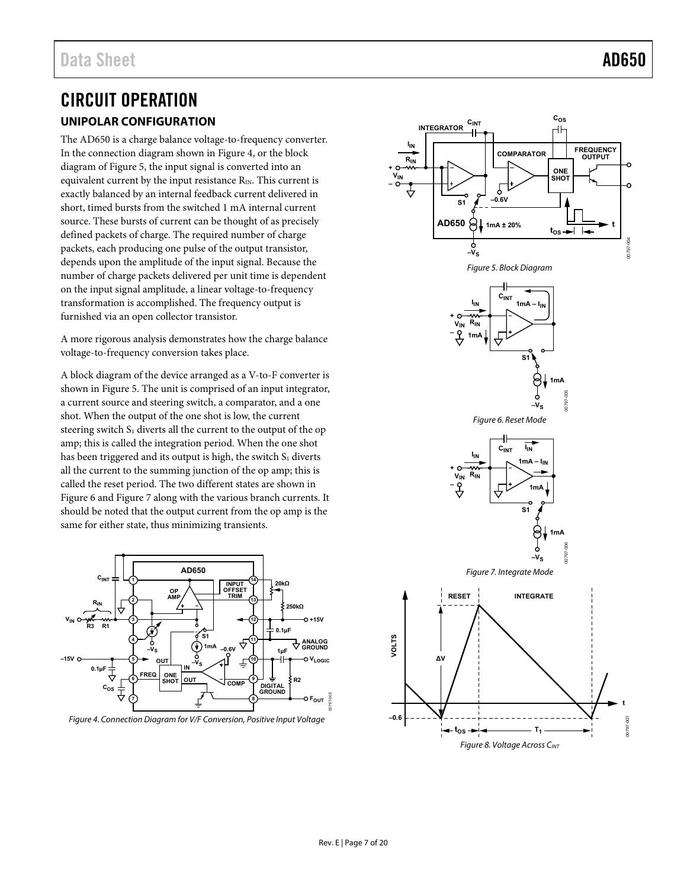## <span id="page-6-1"></span><span id="page-6-0"></span>CIRCUIT OPERATION **UNIPOLAR CONFIGURATION**

The AD650 is a charge balance voltage-to-frequency converter. In the connection diagram shown i[n Figure 4,](#page-6-2) or the block diagram o[f Figure 5,](#page-6-3) the input signal is converted into an equivalent current by the input resistance  $R_{IN}$ . This current is exactly balanced by an internal feedback current delivered in short, timed bursts from the switched 1 mA internal current source. These bursts of current can be thought of as precisely defined packets of charge. The required number of charge packets, each producing one pulse of the output transistor, depends upon the amplitude of the input signal. Because the number of charge packets delivered per unit time is dependent on the input signal amplitude, a linear voltage-to-frequency transformation is accomplished. The frequency output is furnished via an open collector transistor.

A more rigorous analysis demonstrates how the charge balance voltage-to-frequency conversion takes place.

<span id="page-6-4"></span>A block diagram of the device arranged as a V-to-F converter is shown in [Figure 5.](#page-6-3) The unit is comprised of an input integrator, a current source and steering switch, a comparator, and a one shot. When the output of the one shot is low, the current steering switch  $S_1$  diverts all the current to the output of the op amp; this is called the integration period. When the one shot has been triggered and its output is high, the switch  $S_1$  diverts all the current to the summing junction of the op amp; this is called the reset period. The two different states are shown in [Figure 6](#page-6-4) an[d Figure 7 a](#page-6-5)long with the various branch currents. It should be noted that the output current from the op amp is the same for either state, thus minimizing transients.

<span id="page-6-5"></span>

<span id="page-6-6"></span><span id="page-6-2"></span>Figure 4. Connection Diagram for V/F Conversion, Positive Input Voltage

<span id="page-6-3"></span>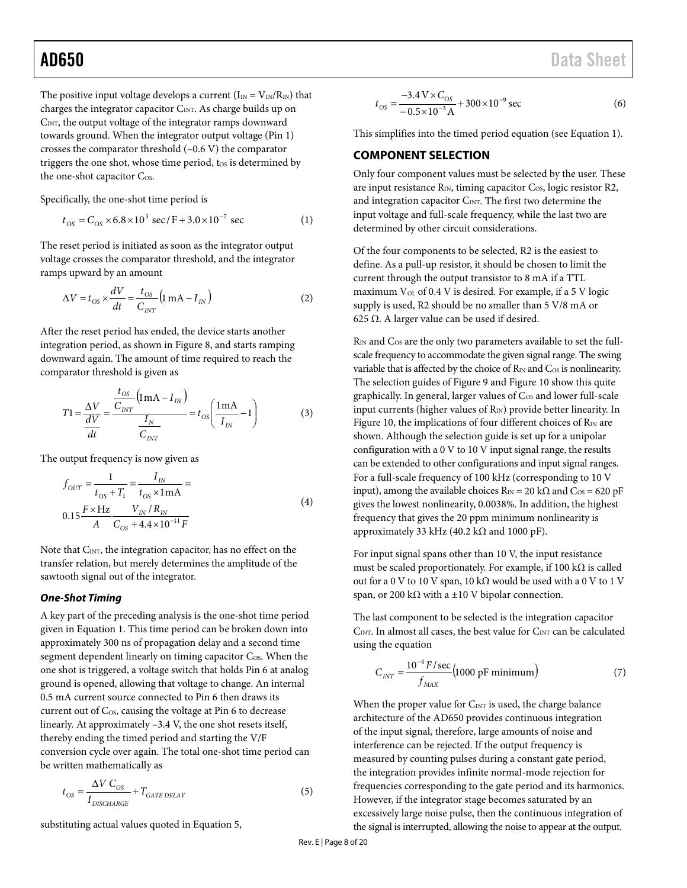The positive input voltage develops a current  $(I_{IN} = V_{IN}/R_{IN})$  that charges the integrator capacitor  $C_{\text{INT}}$ . As charge builds up on CINT, the output voltage of the integrator ramps downward towards ground. When the integrator output voltage (Pin 1) crosses the comparator threshold (–0.6 V) the comparator triggers the one shot, whose time period,  $t_{OS}$  is determined by the one-shot capacitor Cos.

Specifically, the one-shot time period is

$$
t_{OS} = C_{OS} \times 6.8 \times 10^3 \text{ sec/F} + 3.0 \times 10^{-7} \text{ sec}
$$
 (1)

The reset period is initiated as soon as the integrator output voltage crosses the comparator threshold, and the integrator ramps upward by an amount

$$
\Delta V = t_{OS} \times \frac{dV}{dt} = \frac{t_{OS}}{C_{INT}} \left( 1 \text{ mA} - I_{IN} \right)
$$
 (2)

After the reset period has ended, the device starts another integration period, as shown in [Figure 8,](#page-6-6) and starts ramping downward again. The amount of time required to reach the comparator threshold is given as

$$
T1 = \frac{\Delta V}{\frac{dV}{dt}} = \frac{\frac{t_{OS}}{C_{INT}} \left( \text{Im} \mathbf{A} - I_{IN} \right)}{\frac{I_N}{C_{INT}}} = t_{OS} \left( \frac{1 \text{mA}}{I_{IN}} - 1 \right)
$$
(3)

The output frequency is now given as

$$
f_{OUT} = \frac{1}{t_{OS} + T_1} = \frac{I_{IN}}{t_{OS} \times 1 \text{ mA}} =
$$
  
0.15  $\frac{F \times \text{Hz}}{A} = \frac{V_{IN} / R_{IN}}{C_{OS} + 4.4 \times 10^{-11} F}$  (4)

Note that C<sub>INT</sub>, the integration capacitor, has no effect on the transfer relation, but merely determines the amplitude of the sawtooth signal out of the integrator.

#### *One-Shot Timing*

A key part of the preceding analysis is the one-shot time period given in Equation 1. This time period can be broken down into approximately 300 ns of propagation delay and a second time segment dependent linearly on timing capacitor Cos. When the one shot is triggered, a voltage switch that holds Pin 6 at analog ground is opened, allowing that voltage to change. An internal 0.5 mA current source connected to Pin 6 then draws its current out of Cos, causing the voltage at Pin 6 to decrease linearly. At approximately –3.4 V, the one shot resets itself, thereby ending the timed period and starting the V/F conversion cycle over again. The total one-shot time period can be written mathematically as

$$
t_{OS} = \frac{\Delta V C_{OS}}{I_{DISCHARGE}} + T_{GATE\ DELAY}
$$
\n(5)

substituting actual values quoted in Equation 5,

$$
t_{OS} = \frac{-3.4 \,\text{V} \times C_{OS}}{-0.5 \times 10^{-3} \,\text{A}} + 300 \times 10^{-9} \,\text{sec}
$$
 (6)

This simplifies into the timed period equation (see Equation 1).

#### <span id="page-7-0"></span>**COMPONENT SELECTION**

Only four component values must be selected by the user. These are input resistance  $R_{IN}$ , timing capacitor  $C_{OS}$ , logic resistor R2, and integration capacitor  $C_{\text{INT}}$ . The first two determine the input voltage and full-scale frequency, while the last two are determined by other circuit considerations.

Of the four components to be selected, R2 is the easiest to define. As a pull-up resistor, it should be chosen to limit the current through the output transistor to 8 mA if a TTL maximum  $V_{OL}$  of 0.4 V is desired. For example, if a 5 V logic supply is used, R2 should be no smaller than 5 V/8 mA or 625 Ω. A larger value can be used if desired.

R<sub>IN</sub> and C<sub>OS</sub> are the only two parameters available to set the fullscale frequency to accommodate the given signal range. The swing variable that is affected by the choice of  $R_{IN}$  and  $C_{OS}$  is nonlinearity. The selection guides of [Figure 9](#page-8-0) and [Figure 10](#page-8-1) show this quite graphically. In general, larger values of  $C_{OS}$  and lower full-scale input currents (higher values of  $R_{IN}$ ) provide better linearity. In [Figure 10,](#page-8-1) the implications of four different choices of  $R_{IN}$  are shown. Although the selection guide is set up for a unipolar configuration with a 0 V to 10 V input signal range, the results can be extended to other configurations and input signal ranges. For a full-scale frequency of 100 kHz (corresponding to 10 V input), among the available choices  $R_{IN} = 20 \text{ k}\Omega$  and  $C_{OS} = 620 \text{ pF}$ gives the lowest nonlinearity, 0.0038%. In addition, the highest frequency that gives the 20 ppm minimum nonlinearity is approximately 33 kHz (40.2 k $\Omega$  and 1000 pF).

For input signal spans other than 10 V, the input resistance must be scaled proportionately. For example, if 100 k $\Omega$  is called out for a 0 V to 10 V span, 10 kΩ would be used with a 0 V to 1 V span, or 200 k $\Omega$  with a ±10 V bipolar connection.

The last component to be selected is the integration capacitor  $C<sub>INT</sub>$ . In almost all cases, the best value for  $C<sub>INT</sub>$  can be calculated using the equation

$$
C_{INT} = \frac{10^{-4} F/sec}{f_{MAX}} \left(1000 \text{ pF minimum}\right) \tag{7}
$$

When the proper value for  $C_{\text{INT}}$  is used, the charge balance architecture of the AD650 provides continuous integration of the input signal, therefore, large amounts of noise and interference can be rejected. If the output frequency is measured by counting pulses during a constant gate period, the integration provides infinite normal-mode rejection for frequencies corresponding to the gate period and its harmonics. However, if the integrator stage becomes saturated by an excessively large noise pulse, then the continuous integration of the signal is interrupted, allowing the noise to appear at the output.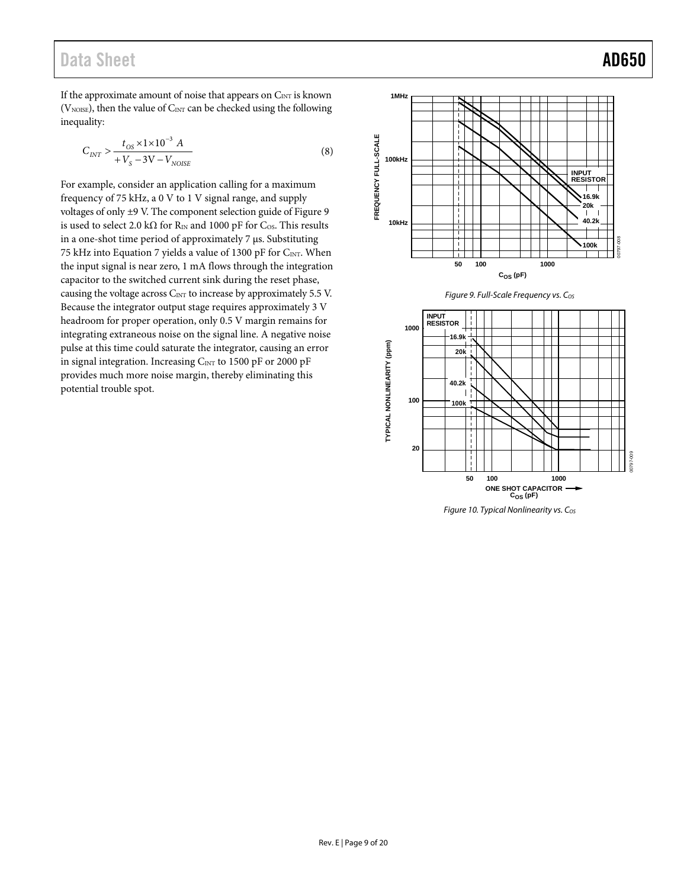## Data Sheet **AD650**

If the approximate amount of noise that appears on  $C_{\text{INT}}$  is known ( $V<sub>NOISE</sub>$ ), then the value of  $C<sub>INT</sub>$  can be checked using the following inequality:

$$
C_{INT} > \frac{t_{OS} \times 1 \times 10^{-3} A}{+V_S - 3V - V_{NOISE}}
$$
\n
$$
\tag{8}
$$

For example, consider an application calling for a maximum frequency of 75 kHz, a 0 V to 1 V signal range, and supply voltages of only ±9 V. The component selection guide o[f Figure 9](#page-8-0)  is used to select 2.0 k $\Omega$  for R<sub>IN</sub> and 1000 pF for C<sub>OS</sub>. This results in a one-shot time period of approximately 7 μs. Substituting 75 kHz into Equation 7 yields a value of 1300 pF for CINT. When the input signal is near zero, 1 mA flows through the integration capacitor to the switched current sink during the reset phase, causing the voltage across  $C_{INT}$  to increase by approximately 5.5 V. Because the integrator output stage requires approximately 3 V headroom for proper operation, only 0.5 V margin remains for integrating extraneous noise on the signal line. A negative noise pulse at this time could saturate the integrator, causing an error in signal integration. Increasing  $C_{\text{INT}}$  to 1500 pF or 2000 pF provides much more noise margin, thereby eliminating this potential trouble spot.





<span id="page-8-0"></span>

<span id="page-8-1"></span>Figure 10. Typical Nonlinearity vs.  $C_{OS}$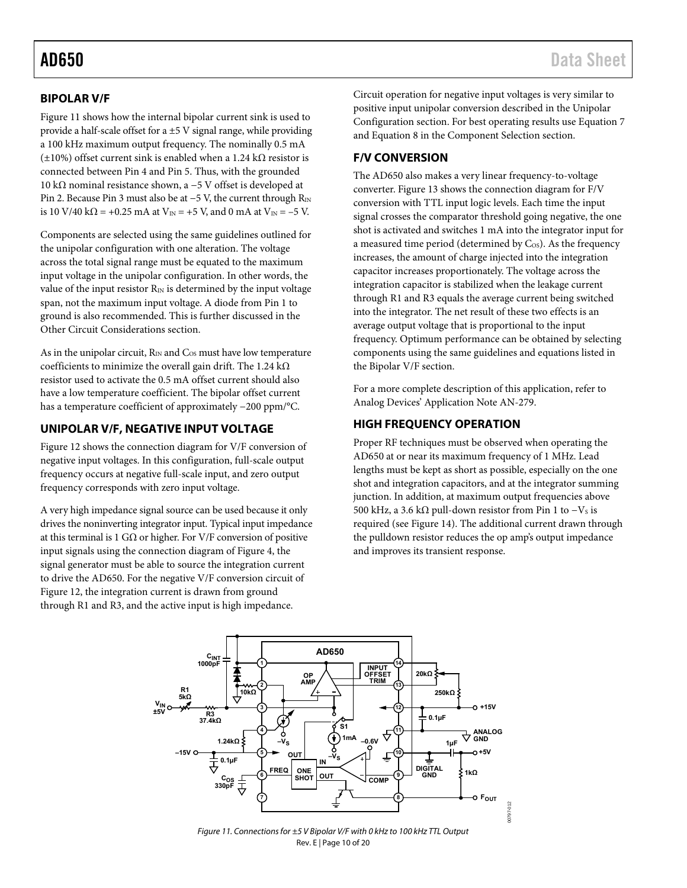### <span id="page-9-0"></span>**BIPOLAR V/F**

[Figure 11 s](#page-9-4)hows how the internal bipolar current sink is used to provide a half-scale offset for a ±5 V signal range, while providing a 100 kHz maximum output frequency. The nominally 0.5 mA (±10%) offset current sink is enabled when a 1.24 kΩ resistor is connected between Pin 4 and Pin 5. Thus, with the grounded 10 kΩ nominal resistance shown, a −5 V offset is developed at Pin 2. Because Pin 3 must also be at −5 V, the current through R<sub>IN</sub> is 10 V/40 k $\Omega$  = +0.25 mA at V<sub>IN</sub> = +5 V, and 0 mA at V<sub>IN</sub> = -5 V.

Components are selected using the same guidelines outlined for the unipolar configuration with one alteration. The voltage across the total signal range must be equated to the maximum input voltage in the unipolar configuration. In other words, the value of the input resistor  $R_{IN}$  is determined by the input voltage span, not the maximum input voltage. A diode from Pin 1 to ground is also recommended. This is further discussed in the [Other Circuit Considerations s](#page-13-1)ection.

As in the unipolar circuit,  $R_{IN}$  and  $C_{OS}$  must have low temperature coefficients to minimize the overall gain drift. The 1.24 k $\Omega$ resistor used to activate the 0.5 mA offset current should also have a low temperature coefficient. The bipolar offset current has a temperature coefficient of approximately −200 ppm/°C.

#### <span id="page-9-1"></span>**UNIPOLAR V/F, NEGATIVE INPUT VOLTAGE**

[Figure 12 s](#page-10-0)hows the connection diagram for V/F conversion of negative input voltages. In this configuration, full-scale output frequency occurs at negative full-scale input, and zero output frequency corresponds with zero input voltage.

A very high impedance signal source can be used because it only drives the noninverting integrator input. Typical input impedance at this terminal is 1 G $\Omega$  or higher. For V/F conversion of positive input signals using the connection diagram o[f Figure 4,](#page-6-2) the signal generator must be able to source the integration current to drive the AD650. For the negative V/F conversion circuit of [Figure 12,](#page-10-0) the integration current is drawn from ground through R1 and R3, and the active input is high impedance.

Circuit operation for negative input voltages is very similar to positive input unipolar conversion described in th[e Unipolar](#page-6-1)  [Configuration](#page-6-1) section. For best operating results use Equation 7 and Equation 8 in the [Component Selection s](#page-7-0)ection.

#### <span id="page-9-2"></span>**F/V CONVERSION**

The AD650 also makes a very linear frequency-to-voltage converter. [Figure 13 s](#page-10-1)hows the connection diagram for F/V conversion with TTL input logic levels. Each time the input signal crosses the comparator threshold going negative, the one shot is activated and switches 1 mA into the integrator input for a measured time period (determined by Cos). As the frequency increases, the amount of charge injected into the integration capacitor increases proportionately. The voltage across the integration capacitor is stabilized when the leakage current through R1 and R3 equals the average current being switched into the integrator. The net result of these two effects is an average output voltage that is proportional to the input frequency. Optimum performance can be obtained by selecting components using the same guidelines and equations listed in the [Bipolar V/F](#page-9-0) section.

For a more complete description of this application, refer to Analog Devices' Application Note AN-279.

#### <span id="page-9-3"></span>**HIGH FREQUENCY OPERATION**

Proper RF techniques must be observed when operating the AD650 at or near its maximum frequency of 1 MHz. Lead lengths must be kept as short as possible, especially on the one shot and integration capacitors, and at the integrator summing junction. In addition, at maximum output frequencies above 500 kHz, a 3.6 kΩ pull-down resistor from Pin 1 to  $-Vs$  is required (se[e Figure 14\)](#page-10-2). The additional current drawn through the pulldown resistor reduces the op amp's output impedance and improves its transient response.

<span id="page-9-4"></span>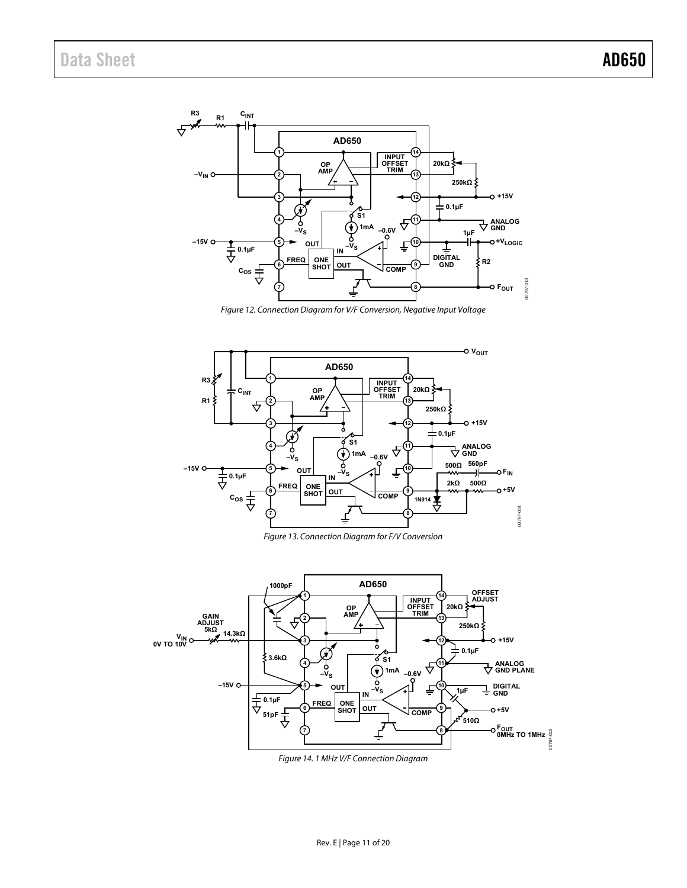

Figure 12. Connection Diagram for V/F Conversion, Negative Input Voltage

<span id="page-10-0"></span>

Figure 13. Connection Diagram for F/V Conversion

<span id="page-10-2"></span><span id="page-10-1"></span>

Figure 14. 1 MHz V/F Connection Diagram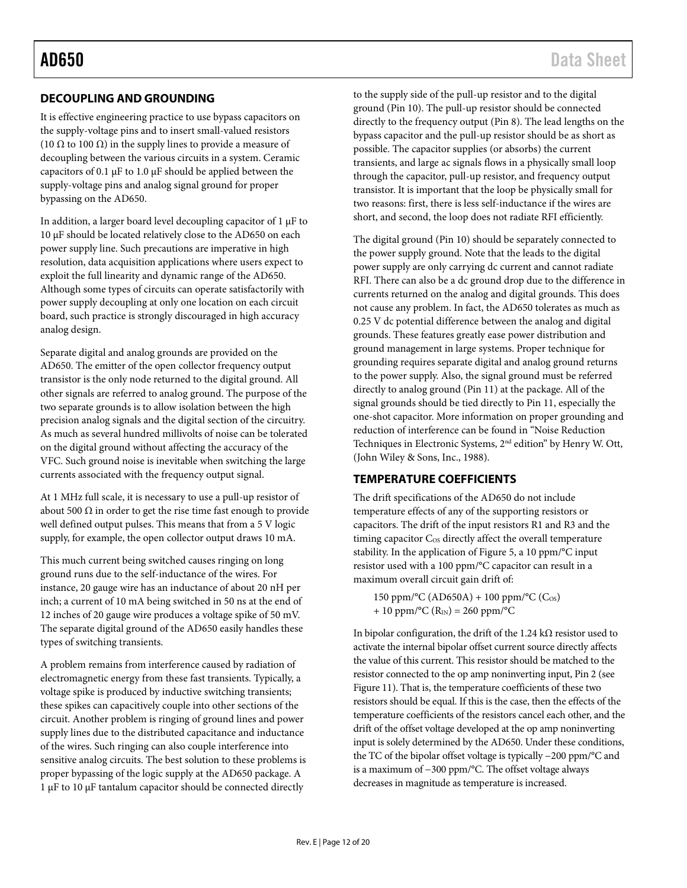### <span id="page-11-0"></span>**DECOUPLING AND GROUNDING**

It is effective engineering practice to use bypass capacitors on the supply-voltage pins and to insert small-valued resistors (10  $\Omega$  to 100  $\Omega$ ) in the supply lines to provide a measure of decoupling between the various circuits in a system. Ceramic capacitors of 0.1 μF to 1.0 μF should be applied between the supply-voltage pins and analog signal ground for proper bypassing on the AD650.

In addition, a larger board level decoupling capacitor of 1 μF to 10 μF should be located relatively close to the AD650 on each power supply line. Such precautions are imperative in high resolution, data acquisition applications where users expect to exploit the full linearity and dynamic range of the AD650. Although some types of circuits can operate satisfactorily with power supply decoupling at only one location on each circuit board, such practice is strongly discouraged in high accuracy analog design.

Separate digital and analog grounds are provided on the AD650. The emitter of the open collector frequency output transistor is the only node returned to the digital ground. All other signals are referred to analog ground. The purpose of the two separate grounds is to allow isolation between the high precision analog signals and the digital section of the circuitry. As much as several hundred millivolts of noise can be tolerated on the digital ground without affecting the accuracy of the VFC. Such ground noise is inevitable when switching the large currents associated with the frequency output signal.

At 1 MHz full scale, it is necessary to use a pull-up resistor of about 500  $\Omega$  in order to get the rise time fast enough to provide well defined output pulses. This means that from a 5 V logic supply, for example, the open collector output draws 10 mA.

This much current being switched causes ringing on long ground runs due to the self-inductance of the wires. For instance, 20 gauge wire has an inductance of about 20 nH per inch; a current of 10 mA being switched in 50 ns at the end of 12 inches of 20 gauge wire produces a voltage spike of 50 mV. The separate digital ground of the AD650 easily handles these types of switching transients.

A problem remains from interference caused by radiation of electromagnetic energy from these fast transients. Typically, a voltage spike is produced by inductive switching transients; these spikes can capacitively couple into other sections of the circuit. Another problem is ringing of ground lines and power supply lines due to the distributed capacitance and inductance of the wires. Such ringing can also couple interference into sensitive analog circuits. The best solution to these problems is proper bypassing of the logic supply at the AD650 package. A 1 μF to 10 μF tantalum capacitor should be connected directly

to the supply side of the pull-up resistor and to the digital ground (Pin 10). The pull-up resistor should be connected directly to the frequency output (Pin 8). The lead lengths on the bypass capacitor and the pull-up resistor should be as short as possible. The capacitor supplies (or absorbs) the current transients, and large ac signals flows in a physically small loop through the capacitor, pull-up resistor, and frequency output transistor. It is important that the loop be physically small for two reasons: first, there is less self-inductance if the wires are short, and second, the loop does not radiate RFI efficiently.

The digital ground (Pin 10) should be separately connected to the power supply ground. Note that the leads to the digital power supply are only carrying dc current and cannot radiate RFI. There can also be a dc ground drop due to the difference in currents returned on the analog and digital grounds. This does not cause any problem. In fact, the AD650 tolerates as much as 0.25 V dc potential difference between the analog and digital grounds. These features greatly ease power distribution and ground management in large systems. Proper technique for grounding requires separate digital and analog ground returns to the power supply. Also, the signal ground must be referred directly to analog ground (Pin 11) at the package. All of the signal grounds should be tied directly to Pin 11, especially the one-shot capacitor. More information on proper grounding and reduction of interference can be found in "Noise Reduction Techniques in Electronic Systems, 2<sup>nd</sup> edition" by Henry W. Ott, (John Wiley & Sons, Inc., 1988).

### <span id="page-11-1"></span>**TEMPERATURE COEFFICIENTS**

The drift specifications of the AD650 do not include temperature effects of any of the supporting resistors or capacitors. The drift of the input resistors R1 and R3 and the timing capacitor  $C_{OS}$  directly affect the overall temperature stability. In the application of [Figure 5,](#page-6-3) a 10 ppm/°C input resistor used with a 100 ppm/°C capacitor can result in a maximum overall circuit gain drift of:

150 ppm/°C (AD650A) + 100 ppm/°C ( $C_{OS}$ ) + 10 ppm/ ${}^{\circ}C$  (R<sub>IN</sub>) = 260 ppm/ ${}^{\circ}C$ 

In bipolar configuration, the drift of the 1.24 k $\Omega$  resistor used to activate the internal bipolar offset current source directly affects the value of this current. This resistor should be matched to the resistor connected to the op amp noninverting input, Pin 2 (see [Figure 11\)](#page-9-4). That is, the temperature coefficients of these two resistors should be equal. If this is the case, then the effects of the temperature coefficients of the resistors cancel each other, and the drift of the offset voltage developed at the op amp noninverting input is solely determined by the AD650. Under these conditions, the TC of the bipolar offset voltage is typically −200 ppm/°C and is a maximum of −300 ppm/°C. The offset voltage always decreases in magnitude as temperature is increased.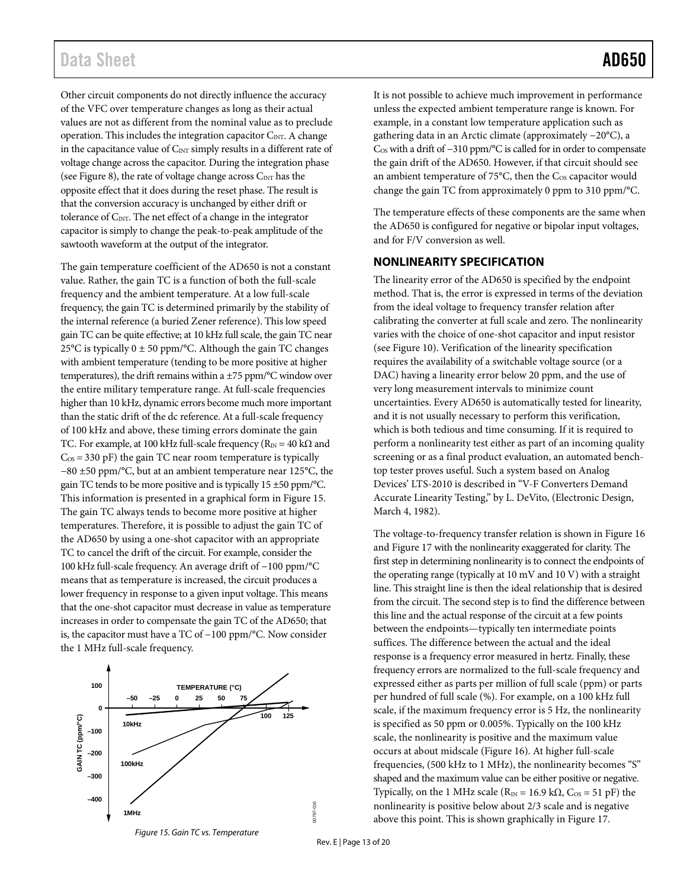## Data Sheet **AD650**

Other circuit components do not directly influence the accuracy of the VFC over temperature changes as long as their actual values are not as different from the nominal value as to preclude operation. This includes the integration capacitor  $C_{\text{INT}}$ . A change in the capacitance value of  $C_{\text{INT}}$  simply results in a different rate of voltage change across the capacitor. During the integration phase (see [Figure 8\)](#page-6-6), the rate of voltage change across  $C_{\text{INT}}$  has the opposite effect that it does during the reset phase. The result is that the conversion accuracy is unchanged by either drift or tolerance of C<sub>INT</sub>. The net effect of a change in the integrator capacitor is simply to change the peak-to-peak amplitude of the sawtooth waveform at the output of the integrator.

The gain temperature coefficient of the AD650 is not a constant value. Rather, the gain TC is a function of both the full-scale frequency and the ambient temperature. At a low full-scale frequency, the gain TC is determined primarily by the stability of the internal reference (a buried Zener reference). This low speed gain TC can be quite effective; at 10 kHz full scale, the gain TC near 25 $\rm ^{\circ}C$  is typically 0  $\pm$  50 ppm/ $\rm ^{\circ}C$ . Although the gain TC changes with ambient temperature (tending to be more positive at higher temperatures), the drift remains within a  $\pm$ 75 ppm/°C window over the entire military temperature range. At full-scale frequencies higher than 10 kHz, dynamic errors become much more important than the static drift of the dc reference. At a full-scale frequency of 100 kHz and above, these timing errors dominate the gain TC. For example, at 100 kHz full-scale frequency ( $R_{IN} = 40$  k $\Omega$  and  $C_{OS}$  = 330 pF) the gain TC near room temperature is typically −80 ±50 ppm/°C, but at an ambient temperature near 125°C, the gain TC tends to be more positive and is typically 15 ±50 ppm/°C. This information is presented in a graphical form i[n Figure 15.](#page-12-1)  The gain TC always tends to become more positive at higher temperatures. Therefore, it is possible to adjust the gain TC of the AD650 by using a one-shot capacitor with an appropriate TC to cancel the drift of the circuit. For example, consider the 100 kHz full-scale frequency. An average drift of −100 ppm/°C means that as temperature is increased, the circuit produces a lower frequency in response to a given input voltage. This means that the one-shot capacitor must decrease in value as temperature increases in order to compensate the gain TC of the AD650; that is, the capacitor must have a TC of −100 ppm/°C. Now consider the 1 MHz full-scale frequency.



<span id="page-12-1"></span>*Figure 15. Gain TC vs. Temperature* 

It is not possible to achieve much improvement in performance unless the expected ambient temperature range is known. For example, in a constant low temperature application such as gathering data in an Arctic climate (approximately −20°C), a C<sub>OS</sub> with a drift of −310 ppm/°C is called for in order to compensate the gain drift of the AD650. However, if that circuit should see an ambient temperature of  $75^{\circ}$ C, then the C<sub>OS</sub> capacitor would change the gain TC from approximately 0 ppm to 310 ppm/°C.

The temperature effects of these components are the same when the AD650 is configured for negative or bipolar input voltages, and for F/V conversion as well.

#### <span id="page-12-0"></span>**NONLINEARITY SPECIFICATION**

The linearity error of the AD650 is specified by the endpoint method. That is, the error is expressed in terms of the deviation from the ideal voltage to frequency transfer relation after calibrating the converter at full scale and zero. The nonlinearity varies with the choice of one-shot capacitor and input resistor (see [Figure 10\)](#page-8-1). Verification of the linearity specification requires the availability of a switchable voltage source (or a DAC) having a linearity error below 20 ppm, and the use of very long measurement intervals to minimize count uncertainties. Every AD650 is automatically tested for linearity, and it is not usually necessary to perform this verification, which is both tedious and time consuming. If it is required to perform a nonlinearity test either as part of an incoming quality screening or as a final product evaluation, an automated benchtop tester proves useful. Such a system based on Analog Devices' LTS-2010 is described in "V-F Converters Demand Accurate Linearity Testing," by L. DeVito, (Electronic Design, March 4, 1982).

The voltage-to-frequency transfer relation is shown i[n Figure 16](#page-13-2) an[d Figure 17](#page-13-3) with the nonlinearity exaggerated for clarity. The first step in determining nonlinearity is to connect the endpoints of the operating range (typically at 10 mV and 10 V) with a straight line. This straight line is then the ideal relationship that is desired from the circuit. The second step is to find the difference between this line and the actual response of the circuit at a few points between the endpoints—typically ten intermediate points suffices. The difference between the actual and the ideal response is a frequency error measured in hertz. Finally, these frequency errors are normalized to the full-scale frequency and expressed either as parts per million of full scale (ppm) or parts per hundred of full scale (%). For example, on a 100 kHz full scale, if the maximum frequency error is 5 Hz, the nonlinearity is specified as 50 ppm or 0.005%. Typically on the 100 kHz scale, the nonlinearity is positive and the maximum value occurs at about midscale [\(Figure 16\)](#page-13-2). At higher full-scale frequencies, (500 kHz to 1 MHz), the nonlinearity becomes "S" shaped and the maximum value can be either positive or negative. Typically, on the 1 MHz scale ( $R_{IN}$  = 16.9 k $\Omega$ ,  $C_{OS}$  = 51 pF) the nonlinearity is positive below about 2/3 scale and is negative above this point. This is shown graphically in [Figure 17.](#page-13-3) 

Rev. E | Page 13 of 20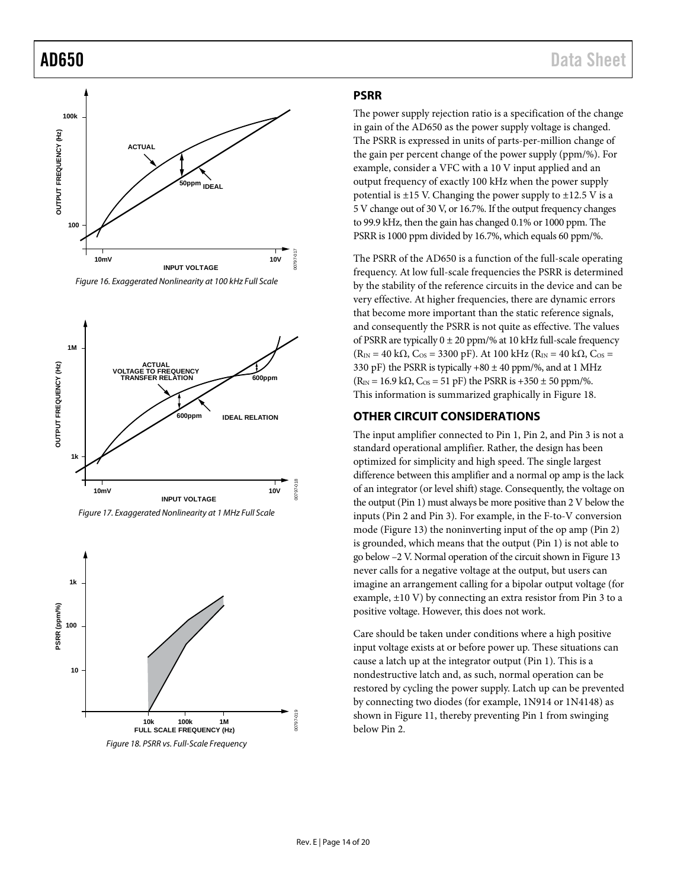

<span id="page-13-2"></span>

<span id="page-13-3"></span>

<span id="page-13-4"></span>*Figure 18. PSRR vs. Full-Scale Frequency*

#### <span id="page-13-0"></span>**PSRR**

The power supply rejection ratio is a specification of the change in gain of the AD650 as the power supply voltage is changed. The PSRR is expressed in units of parts-per-million change of the gain per percent change of the power supply (ppm/%). For example, consider a VFC with a 10 V input applied and an output frequency of exactly 100 kHz when the power supply potential is  $\pm 15$  V. Changing the power supply to  $\pm 12.5$  V is a 5 V change out of 30 V, or 16.7%. If the output frequency changes to 99.9 kHz, then the gain has changed 0.1% or 1000 ppm. The PSRR is 1000 ppm divided by 16.7%, which equals 60 ppm/%.

The PSRR of the AD650 is a function of the full-scale operating frequency. At low full-scale frequencies the PSRR is determined by the stability of the reference circuits in the device and can be very effective. At higher frequencies, there are dynamic errors that become more important than the static reference signals, and consequently the PSRR is not quite as effective. The values of PSRR are typically  $0 \pm 20$  ppm/% at 10 kHz full-scale frequency  $(R_{IN} = 40 \text{ k}\Omega, C_{OS} = 3300 \text{ pF})$ . At 100 kHz  $(R_{IN} = 40 \text{ k}\Omega, C_{OS} = 10 \text{ k}\Omega$ 330 pF) the PSRR is typically  $+80 \pm 40$  ppm/%, and at 1 MHz  $(R_{IN} = 16.9 \text{ k}\Omega, C_{OS} = 51 \text{ pF})$  the PSRR is +350 ± 50 ppm/%. This information is summarized graphically i[n Figure 18.](#page-13-4)

#### <span id="page-13-1"></span>**OTHER CIRCUIT CONSIDERATIONS**

The input amplifier connected to Pin 1, Pin 2, and Pin 3 is not a standard operational amplifier. Rather, the design has been optimized for simplicity and high speed. The single largest difference between this amplifier and a normal op amp is the lack of an integrator (or level shift) stage. Consequently, the voltage on the output (Pin 1) must always be more positive than 2 V below the inputs (Pin 2 and Pin 3). For example, in the F-to-V conversion mode [\(Figure 13\)](#page-10-1) the noninverting input of the op amp (Pin 2) is grounded, which means that the output (Pin 1) is not able to go below –2 V. Normal operation of the circuit shown i[n Figure 13](#page-10-1) never calls for a negative voltage at the output, but users can imagine an arrangement calling for a bipolar output voltage (for example, ±10 V) by connecting an extra resistor from Pin 3 to a positive voltage. However, this does not work.

Care should be taken under conditions where a high positive input voltage exists at or before power up. These situations can cause a latch up at the integrator output (Pin 1). This is a nondestructive latch and, as such, normal operation can be restored by cycling the power supply. Latch up can be prevented by connecting two diodes (for example, 1N914 or 1N4148) as shown in [Figure 11,](#page-9-4) thereby preventing Pin 1 from swinging below Pin 2.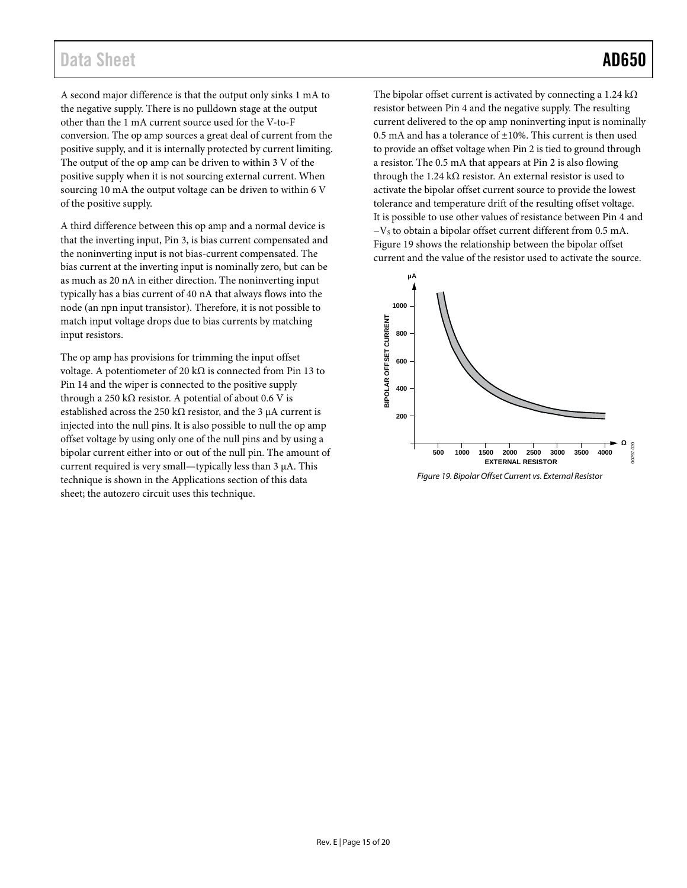## Data Sheet **AD650**

A second major difference is that the output only sinks 1 mA to the negative supply. There is no pulldown stage at the output other than the 1 mA current source used for the V-to-F conversion. The op amp sources a great deal of current from the positive supply, and it is internally protected by current limiting. The output of the op amp can be driven to within 3 V of the positive supply when it is not sourcing external current. When sourcing 10 mA the output voltage can be driven to within 6 V of the positive supply.

A third difference between this op amp and a normal device is that the inverting input, Pin 3, is bias current compensated and the noninverting input is not bias-current compensated. The bias current at the inverting input is nominally zero, but can be as much as 20 nA in either direction. The noninverting input typically has a bias current of 40 nA that always flows into the node (an npn input transistor). Therefore, it is not possible to match input voltage drops due to bias currents by matching input resistors.

The op amp has provisions for trimming the input offset voltage. A potentiometer of 20 k $\Omega$  is connected from Pin 13 to Pin 14 and the wiper is connected to the positive supply through a 250 kΩ resistor. A potential of about 0.6 V is established across the 250 k $\Omega$  resistor, and the 3 µA current is injected into the null pins. It is also possible to null the op amp offset voltage by using only one of the null pins and by using a bipolar current either into or out of the null pin. The amount of current required is very small—typically less than 3 μA. This technique is shown in the [Applications](#page-15-0) section of this data sheet; the autozero circuit uses this technique.

The bipolar offset current is activated by connecting a 1.24 kΩ resistor between Pin 4 and the negative supply. The resulting current delivered to the op amp noninverting input is nominally 0.5 mA and has a tolerance of  $\pm 10$ %. This current is then used to provide an offset voltage when Pin 2 is tied to ground through a resistor. The 0.5 mA that appears at Pin 2 is also flowing through the 1.24 k $\Omega$  resistor. An external resistor is used to activate the bipolar offset current source to provide the lowest tolerance and temperature drift of the resulting offset voltage. It is possible to use other values of resistance between Pin 4 and −VS to obtain a bipolar offset current different from 0.5 mA. [Figure 19](#page-14-0) shows the relationship between the bipolar offset current and the value of the resistor used to activate the source.



<span id="page-14-0"></span>*Figure 19. Bipolar Offset Current vs. External Resistor*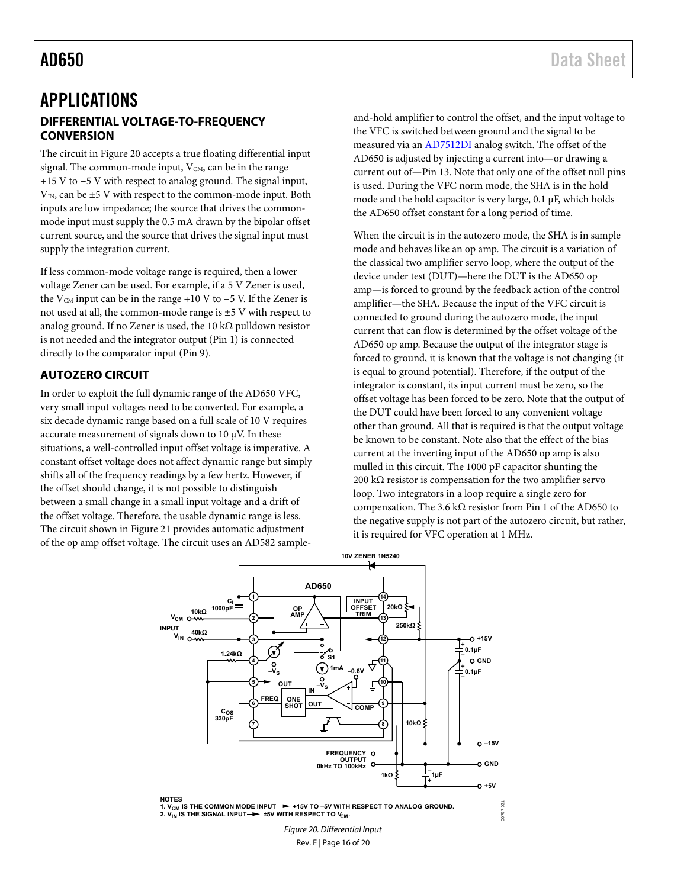## <span id="page-15-1"></span><span id="page-15-0"></span>APPLICATIONS **DIFFERENTIAL VOLTAGE-TO-FREQUENCY CONVERSION**

The circuit i[n Figure 20](#page-15-3) accepts a true floating differential input signal. The common-mode input,  $V_{CM}$ , can be in the range +15 V to −5 V with respect to analog ground. The signal input,  $V_{IN}$ , can be  $\pm 5$  V with respect to the common-mode input. Both inputs are low impedance; the source that drives the commonmode input must supply the 0.5 mA drawn by the bipolar offset current source, and the source that drives the signal input must supply the integration current.

If less common-mode voltage range is required, then a lower voltage Zener can be used. For example, if a 5 V Zener is used, the V<sub>CM</sub> input can be in the range +10 V to  $-5$  V. If the Zener is not used at all, the common-mode range is ±5 V with respect to analog ground. If no Zener is used, the 10 k $\Omega$  pulldown resistor is not needed and the integrator output (Pin 1) is connected directly to the comparator input (Pin 9).

#### <span id="page-15-2"></span>**AUTOZERO CIRCUIT**

In order to exploit the full dynamic range of the AD650 VFC, very small input voltages need to be converted. For example, a six decade dynamic range based on a full scale of 10 V requires accurate measurement of signals down to 10 μV. In these situations, a well-controlled input offset voltage is imperative. A constant offset voltage does not affect dynamic range but simply shifts all of the frequency readings by a few hertz. However, if the offset should change, it is not possible to distinguish between a small change in a small input voltage and a drift of the offset voltage. Therefore, the usable dynamic range is less. The circuit shown i[n Figure 21](#page-16-1) provides automatic adjustment of the op amp offset voltage. The circuit uses an AD582 sampleand-hold amplifier to control the offset, and the input voltage to the VFC is switched between ground and the signal to be measured via an [AD7512DI a](http://www.analog.com/en/prod/0,2877,AD7512,00.html)nalog switch. The offset of the AD650 is adjusted by injecting a current into—or drawing a current out of—Pin 13. Note that only one of the offset null pins is used. During the VFC norm mode, the SHA is in the hold mode and the hold capacitor is very large, 0.1 μF, which holds the AD650 offset constant for a long period of time.

When the circuit is in the autozero mode, the SHA is in sample mode and behaves like an op amp. The circuit is a variation of the classical two amplifier servo loop, where the output of the device under test (DUT)—here the DUT is the AD650 op amp—is forced to ground by the feedback action of the control amplifier—the SHA. Because the input of the VFC circuit is connected to ground during the autozero mode, the input current that can flow is determined by the offset voltage of the AD650 op amp. Because the output of the integrator stage is forced to ground, it is known that the voltage is not changing (it is equal to ground potential). Therefore, if the output of the integrator is constant, its input current must be zero, so the offset voltage has been forced to be zero. Note that the output of the DUT could have been forced to any convenient voltage other than ground. All that is required is that the output voltage be known to be constant. Note also that the effect of the bias current at the inverting input of the AD650 op amp is also mulled in this circuit. The 1000 pF capacitor shunting the 200 k $\Omega$  resistor is compensation for the two amplifier servo loop. Two integrators in a loop require a single zero for compensation. The 3.6 kΩ resistor from Pin 1 of the AD650 to the negative supply is not part of the autozero circuit, but rather, it is required for VFC operation at 1 MHz.



<span id="page-15-3"></span>Rev. E | Page 16 of 20 Figure 20. Differential Input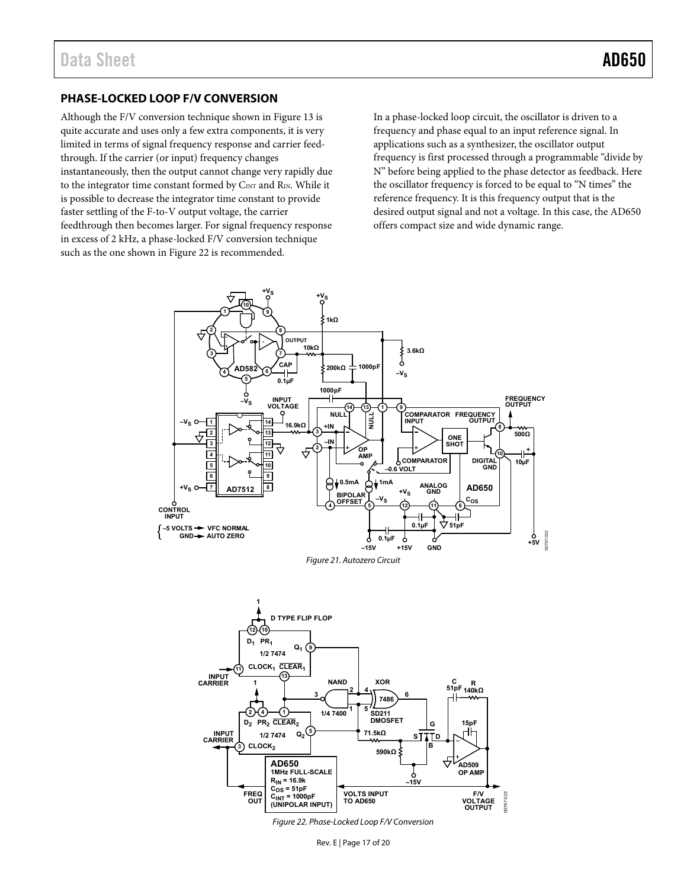### <span id="page-16-0"></span>**PHASE-LOCKED LOOP F/V CONVERSION**

Although the F/V conversion technique shown in [Figure 13 i](#page-10-1)s quite accurate and uses only a few extra components, it is very limited in terms of signal frequency response and carrier feedthrough. If the carrier (or input) frequency changes instantaneously, then the output cannot change very rapidly due to the integrator time constant formed by C<sub>INT</sub> and R<sub>IN</sub>. While it is possible to decrease the integrator time constant to provide faster settling of the F-to-V output voltage, the carrier feedthrough then becomes larger. For signal frequency response in excess of 2 kHz, a phase-locked F/V conversion technique such as the one shown i[n Figure 22 i](#page-16-2)s recommended.

In a phase-locked loop circuit, the oscillator is driven to a frequency and phase equal to an input reference signal. In applications such as a synthesizer, the oscillator output frequency is first processed through a programmable "divide by N" before being applied to the phase detector as feedback. Here the oscillator frequency is forced to be equal to "N times" the reference frequency. It is this frequency output that is the desired output signal and not a voltage. In this case, the AD650 offers compact size and wide dynamic range.



<span id="page-16-1"></span>

<span id="page-16-2"></span>Figure 22. Phase-Locked Loop F/V Conversion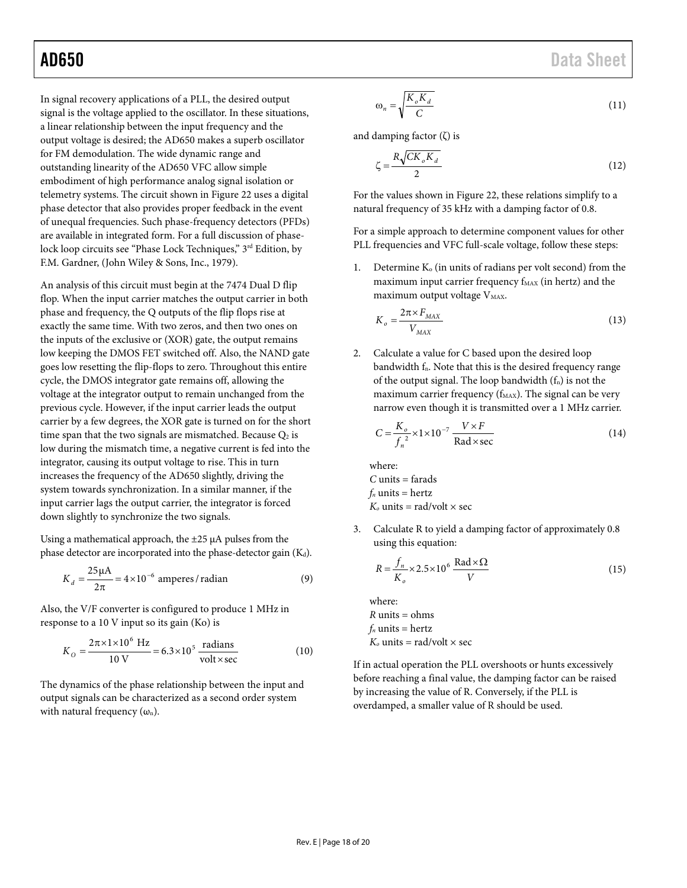In signal recovery applications of a PLL, the desired output signal is the voltage applied to the oscillator. In these situations, a linear relationship between the input frequency and the output voltage is desired; the AD650 makes a superb oscillator for FM demodulation. The wide dynamic range and outstanding linearity of the AD650 VFC allow simple embodiment of high performance analog signal isolation or telemetry systems. The circuit shown i[n Figure 22](#page-16-2) uses a digital phase detector that also provides proper feedback in the event of unequal frequencies. Such phase-frequency detectors (PFDs) are available in integrated form. For a full discussion of phaselock loop circuits see "Phase Lock Techniques," 3<sup>rd</sup> Edition, by F.M. Gardner, (John Wiley & Sons, Inc., 1979).

An analysis of this circuit must begin at the 7474 Dual D flip flop. When the input carrier matches the output carrier in both phase and frequency, the Q outputs of the flip flops rise at exactly the same time. With two zeros, and then two ones on the inputs of the exclusive or (XOR) gate, the output remains low keeping the DMOS FET switched off. Also, the NAND gate goes low resetting the flip-flops to zero. Throughout this entire cycle, the DMOS integrator gate remains off, allowing the voltage at the integrator output to remain unchanged from the previous cycle. However, if the input carrier leads the output carrier by a few degrees, the XOR gate is turned on for the short time span that the two signals are mismatched. Because  $Q_2$  is low during the mismatch time, a negative current is fed into the integrator, causing its output voltage to rise. This in turn increases the frequency of the AD650 slightly, driving the system towards synchronization. In a similar manner, if the input carrier lags the output carrier, the integrator is forced down slightly to synchronize the two signals.

Using a mathematical approach, the  $\pm 25 \mu A$  pulses from the phase detector are incorporated into the phase-detector gain  $(K_d)$ .

$$
K_d = \frac{25\,\mu\text{A}}{2\pi} = 4 \times 10^{-6} \text{ amperes}/\text{radian}
$$
 (9)

Also, the V/F converter is configured to produce 1 MHz in response to a 10 V input so its gain (Ko) is

$$
K_O = \frac{2\pi \times 1 \times 10^6 \text{ Hz}}{10 \text{ V}} = 6.3 \times 10^5 \frac{\text{radians}}{\text{volt} \times \text{sec}}
$$
(10)

The dynamics of the phase relationship between the input and output signals can be characterized as a second order system with natural frequency  $(\omega_n)$ .

AD650 Data Sheet

$$
\omega_n = \sqrt{\frac{K_o K_d}{C}}\tag{11}
$$

and damping factor  $(\zeta)$  is

$$
\zeta = \frac{R\sqrt{CK_oK_d}}{2} \tag{12}
$$

For the values shown in [Figure 22,](#page-16-2) these relations simplify to a natural frequency of 35 kHz with a damping factor of 0.8.

For a simple approach to determine component values for other PLL frequencies and VFC full-scale voltage, follow these steps:

1. Determine  $K_0$  (in units of radians per volt second) from the maximum input carrier frequency  $f_{MAX}$  (in hertz) and the maximum output voltage V<sub>MAX</sub>.

$$
K_o = \frac{2\pi \times F_{MAX}}{V_{MAX}}
$$
\n(13)

2. Calculate a value for C based upon the desired loop bandwidth f<sub>n</sub>. Note that this is the desired frequency range of the output signal. The loop bandwidth  $(f_n)$  is not the maximum carrier frequency ( $f_{MAX}$ ). The signal can be very narrow even though it is transmitted over a 1 MHz carrier.

$$
C = \frac{K_o}{f_n^2} \times 1 \times 10^{-7} \frac{V \times F}{\text{Rad} \times \text{sec}}
$$
 (14)

where: *C* units = farads  $f_n$  units = hertz  $K_0$  units = rad/volt  $\times$  sec

3. Calculate R to yield a damping factor of approximately 0.8 using this equation:

$$
R = \frac{f_n}{K_o} \times 2.5 \times 10^6 \frac{\text{Rad} \times \Omega}{V}
$$
 (15)

where:  $R$  units = ohms  $f_n$  units = hertz  $K_0$  units = rad/volt  $\times$  sec

If in actual operation the PLL overshoots or hunts excessively before reaching a final value, the damping factor can be raised by increasing the value of R. Conversely, if the PLL is overdamped, a smaller value of R should be used.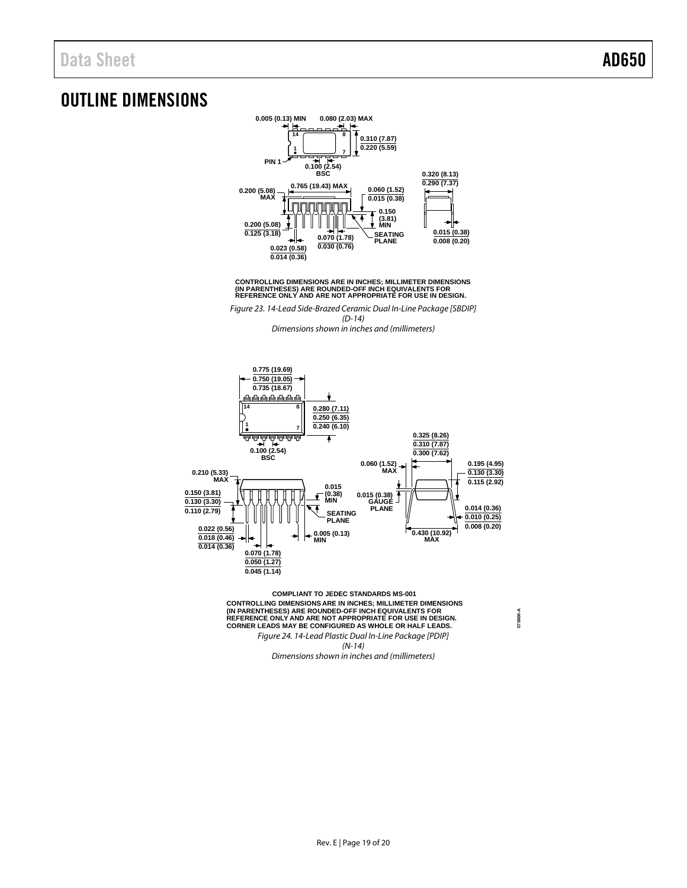## <span id="page-18-0"></span>OUTLINE DIMENSIONS



CONTROLLING DIMENSIONS ARE IN INCHES; MILLIMETER DIMENSIONS<br>(IN PARENTHESES) ARE ROUNDED-OFF INCH EQUIVALENTS FOR<br>REFERENCE ONLY AND ARE NOT APPROPRIATE FOR USE IN DESIGN.

Figure 23. 14-Lead Side-Brazed Ceramic Dual In-Line Package [SBDIP] (D-14) Dimensions shown in inches and (millimeters)



**COMPLIANT TO JEDEC STANDARDS MS-001** CONTROLLING DIMENSIONS ARE IN INCHES; MILLIMETER DIMENSIONS<br>(IN PARENTHESES) ARE ROUNDED-OFF INCH EQUIVALENTS FOR<br>REFERENCE ONLY AND ARE NOT APPROPRIATE FOR USE IN DESIGN.<br>CORNER LEADS MAY BE CONFIGURED AS WHOLE OR HALF LE Figure 24. 14-Lead Plastic Dual In-Line Package [PDIP]

(N-14)

Dimensions shown in inches and (millimeters)

**070606-A**